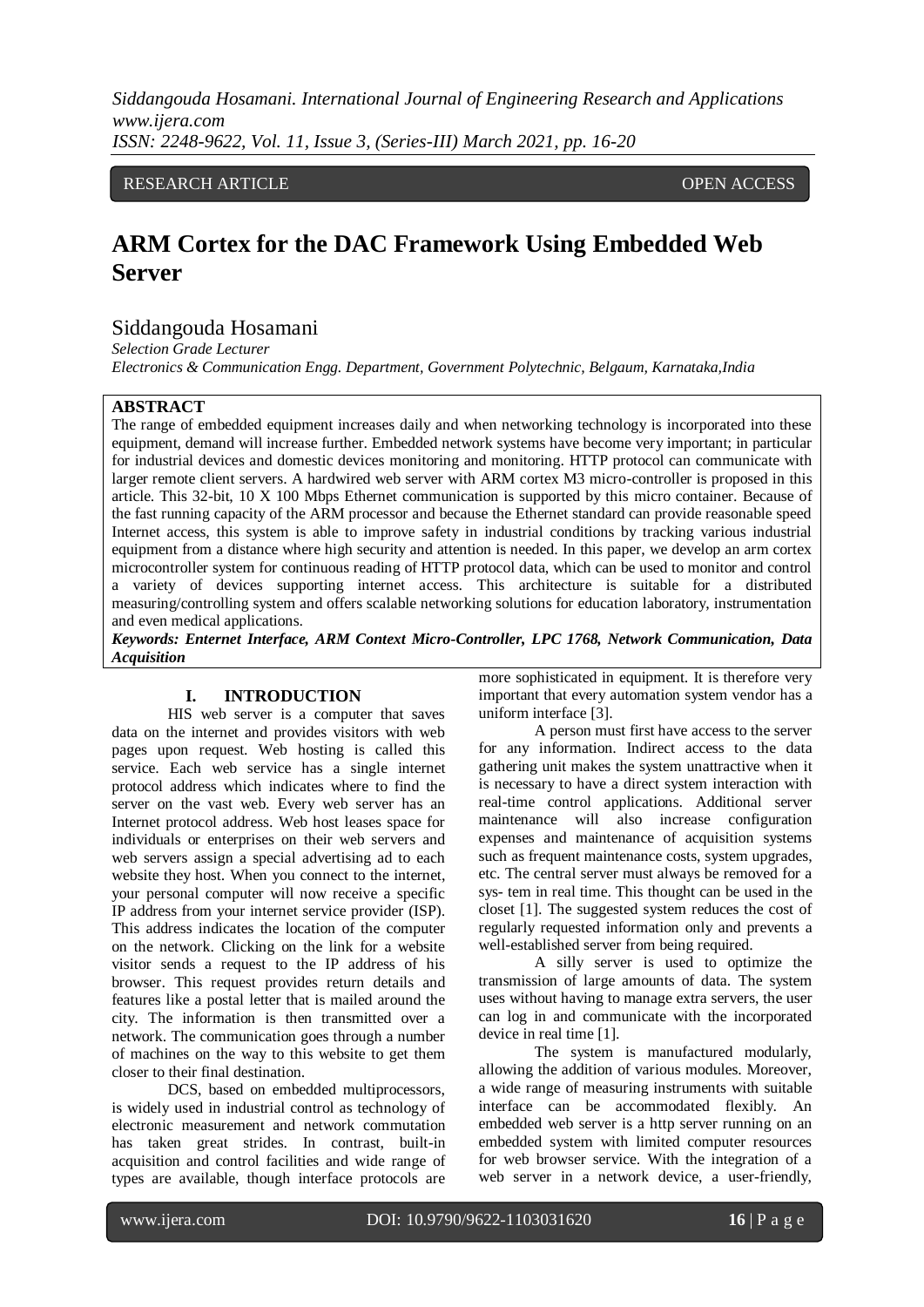# RESEARCH ARTICLE **CONSERVERS** OPEN ACCESS

# **ARM Cortex for the DAC Framework Using Embedded Web Server**

# Siddangouda Hosamani

*Selection Grade Lecturer Electronics & Communication Engg. Department, Government Polytechnic, Belgaum, Karnataka,India*

## **ABSTRACT**

The range of embedded equipment increases daily and when networking technology is incorporated into these equipment, demand will increase further. Embedded network systems have become very important; in particular for industrial devices and domestic devices monitoring and monitoring. HTTP protocol can communicate with larger remote client servers. A hardwired web server with ARM cortex M3 micro-controller is proposed in this article. This 32-bit, 10 X 100 Mbps Ethernet communication is supported by this micro container. Because of the fast running capacity of the ARM processor and because the Ethernet standard can provide reasonable speed Internet access, this system is able to improve safety in industrial conditions by tracking various industrial equipment from a distance where high security and attention is needed. In this paper, we develop an arm cortex microcontroller system for continuous reading of HTTP protocol data, which can be used to monitor and control a variety of devices supporting internet access. This architecture is suitable for a distributed measuring/controlling system and offers scalable networking solutions for education laboratory, instrumentation and even medical applications.

*Keywords: Enternet Interface, ARM Context Micro-Controller, LPC 1768, Network Communication, Data Acquisition*

## **I. INTRODUCTION**

HIS web server is a computer that saves data on the internet and provides visitors with web pages upon request. Web hosting is called this service. Each web service has a single internet protocol address which indicates where to find the server on the vast web. Every web server has an Internet protocol address. Web host leases space for individuals or enterprises on their web servers and web servers assign a special advertising ad to each website they host. When you connect to the internet, your personal computer will now receive a specific IP address from your internet service provider (ISP). This address indicates the location of the computer on the network. Clicking on the link for a website visitor sends a request to the IP address of his browser. This request provides return details and features like a postal letter that is mailed around the city. The information is then transmitted over a network. The communication goes through a number of machines on the way to this website to get them closer to their final destination.

DCS, based on embedded multiprocessors, is widely used in industrial control as technology of electronic measurement and network commutation has taken great strides. In contrast, built-in acquisition and control facilities and wide range of types are available, though interface protocols are

more sophisticated in equipment. It is therefore very important that every automation system vendor has a uniform interface [3].

A person must first have access to the server for any information. Indirect access to the data gathering unit makes the system unattractive when it is necessary to have a direct system interaction with real-time control applications. Additional server maintenance will also increase configuration expenses and maintenance of acquisition systems such as frequent maintenance costs, system upgrades, etc. The central server must always be removed for a sys- tem in real time. This thought can be used in the closet [1]. The suggested system reduces the cost of regularly requested information only and prevents a well-established server from being required.

A silly server is used to optimize the transmission of large amounts of data. The system uses without having to manage extra servers, the user can log in and communicate with the incorporated device in real time [1].

The system is manufactured modularly, allowing the addition of various modules. Moreover, a wide range of measuring instruments with suitable interface can be accommodated flexibly. An embedded web server is a http server running on an embedded system with limited computer resources for web browser service. With the integration of a web server in a network device, a user-friendly,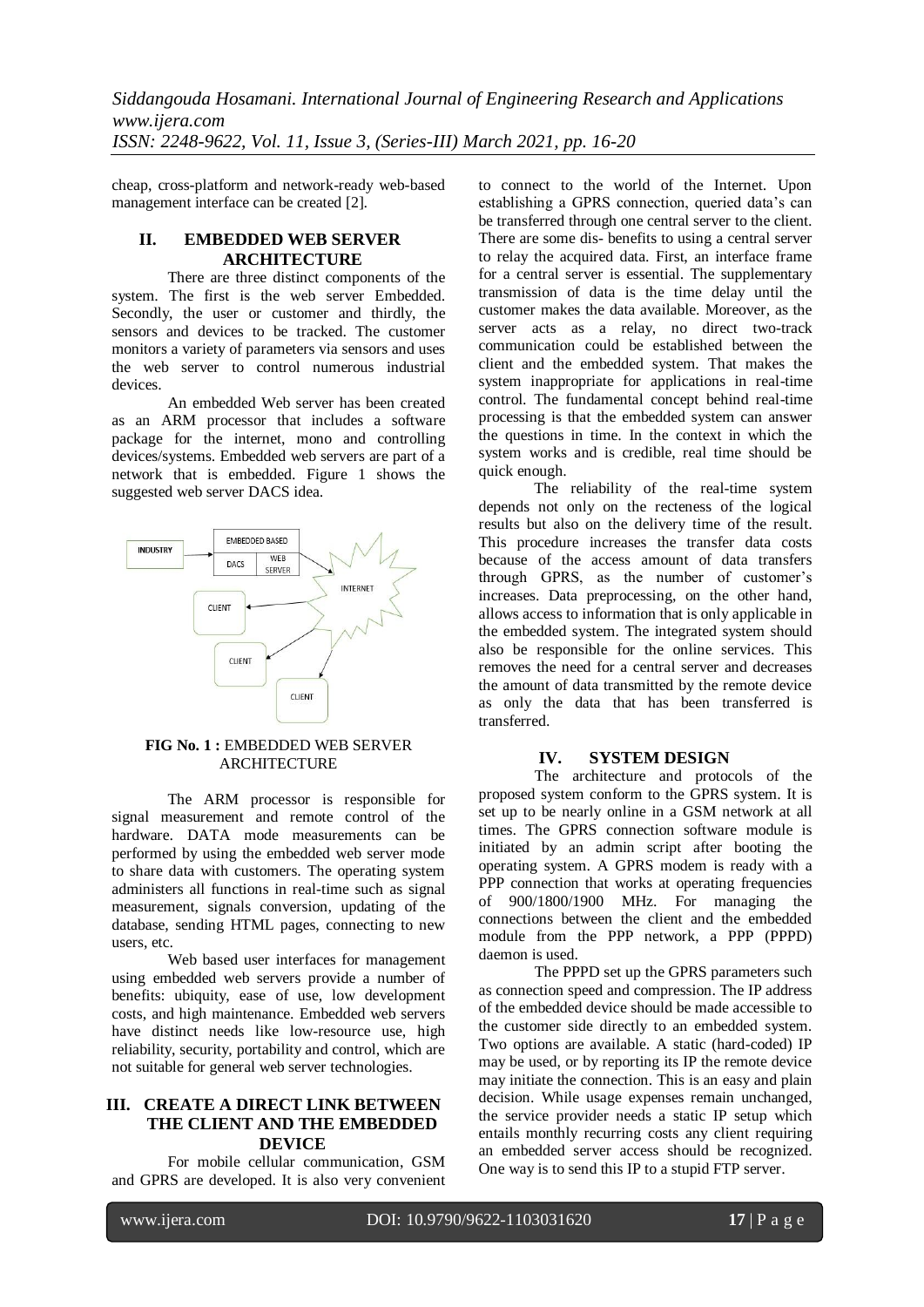cheap, cross-platform and network-ready web-based management interface can be created [2].

# **II. EMBEDDED WEB SERVER ARCHITECTURE**

There are three distinct components of the system. The first is the web server Embedded. Secondly, the user or customer and thirdly, the sensors and devices to be tracked. The customer monitors a variety of parameters via sensors and uses the web server to control numerous industrial devices.

An embedded Web server has been created as an ARM processor that includes a software package for the internet, mono and controlling devices/systems. Embedded web servers are part of a network that is embedded. Figure 1 shows the suggested web server DACS idea.



## **FIG No. 1 :** EMBEDDED WEB SERVER **ARCHITECTURE**

The ARM processor is responsible for signal measurement and remote control of the hardware. DATA mode measurements can be performed by using the embedded web server mode to share data with customers. The operating system administers all functions in real-time such as signal measurement, signals conversion, updating of the database, sending HTML pages, connecting to new users, etc.

Web based user interfaces for management using embedded web servers provide a number of benefits: ubiquity, ease of use, low development costs, and high maintenance. Embedded web servers have distinct needs like low-resource use, high reliability, security, portability and control, which are not suitable for general web server technologies.

# **III. CREATE A DIRECT LINK BETWEEN THE CLIENT AND THE EMBEDDED DEVICE**

For mobile cellular communication, GSM and GPRS are developed. It is also very convenient to connect to the world of the Internet. Upon establishing a GPRS connection, queried data's can be transferred through one central server to the client. There are some dis- benefits to using a central server to relay the acquired data. First, an interface frame for a central server is essential. The supplementary transmission of data is the time delay until the customer makes the data available. Moreover, as the server acts as a relay, no direct two-track communication could be established between the client and the embedded system. That makes the system inappropriate for applications in real-time control. The fundamental concept behind real-time processing is that the embedded system can answer the questions in time. In the context in which the system works and is credible, real time should be quick enough.

The reliability of the real-time system depends not only on the recteness of the logical results but also on the delivery time of the result. This procedure increases the transfer data costs because of the access amount of data transfers through GPRS, as the number of customer's increases. Data preprocessing, on the other hand, allows access to information that is only applicable in the embedded system. The integrated system should also be responsible for the online services. This removes the need for a central server and decreases the amount of data transmitted by the remote device as only the data that has been transferred is transferred.

## **IV. SYSTEM DESIGN**

The architecture and protocols of the proposed system conform to the GPRS system. It is set up to be nearly online in a GSM network at all times. The GPRS connection software module is initiated by an admin script after booting the operating system. A GPRS modem is ready with a PPP connection that works at operating frequencies of 900/1800/1900 MHz. For managing the connections between the client and the embedded module from the PPP network, a PPP (PPPD) daemon is used.

The PPPD set up the GPRS parameters such as connection speed and compression. The IP address of the embedded device should be made accessible to the customer side directly to an embedded system. Two options are available. A static (hard-coded) IP may be used, or by reporting its IP the remote device may initiate the connection. This is an easy and plain decision. While usage expenses remain unchanged, the service provider needs a static IP setup which entails monthly recurring costs any client requiring an embedded server access should be recognized. One way is to send this IP to a stupid FTP server.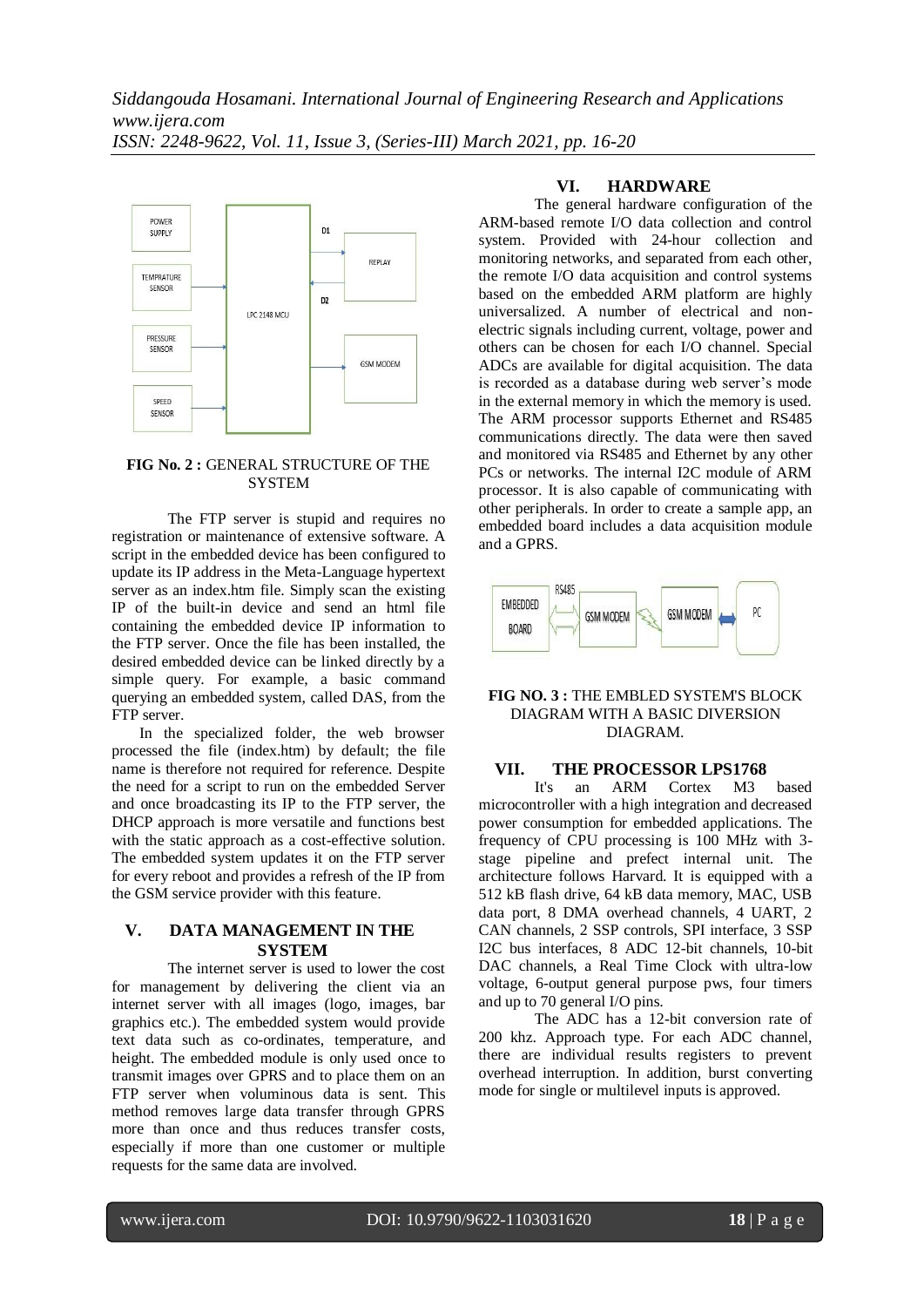

## **FIG No. 2 :** GENERAL STRUCTURE OF THE **SYSTEM**

The FTP server is stupid and requires no registration or maintenance of extensive software. A script in the embedded device has been configured to update its IP address in the Meta-Language hypertext server as an index.htm file. Simply scan the existing IP of the built-in device and send an html file containing the embedded device IP information to the FTP server. Once the file has been installed, the desired embedded device can be linked directly by a simple query. For example, a basic command querying an embedded system, called DAS, from the FTP server.

In the specialized folder, the web browser processed the file (index.htm) by default; the file name is therefore not required for reference. Despite the need for a script to run on the embedded Server and once broadcasting its IP to the FTP server, the DHCP approach is more versatile and functions best with the static approach as a cost-effective solution. The embedded system updates it on the FTP server for every reboot and provides a refresh of the IP from the GSM service provider with this feature.

# **V. DATA MANAGEMENT IN THE SYSTEM**

The internet server is used to lower the cost for management by delivering the client via an internet server with all images (logo, images, bar graphics etc.). The embedded system would provide text data such as co-ordinates, temperature, and height. The embedded module is only used once to transmit images over GPRS and to place them on an FTP server when voluminous data is sent. This method removes large data transfer through GPRS more than once and thus reduces transfer costs, especially if more than one customer or multiple requests for the same data are involved.

# **VI. HARDWARE**

The general hardware configuration of the ARM-based remote I/O data collection and control system. Provided with 24-hour collection and monitoring networks, and separated from each other, the remote I/O data acquisition and control systems based on the embedded ARM platform are highly universalized. A number of electrical and nonelectric signals including current, voltage, power and others can be chosen for each I/O channel. Special ADCs are available for digital acquisition. The data is recorded as a database during web server's mode in the external memory in which the memory is used. The ARM processor supports Ethernet and RS485 communications directly. The data were then saved and monitored via RS485 and Ethernet by any other PCs or networks. The internal I2C module of ARM processor. It is also capable of communicating with other peripherals. In order to create a sample app, an embedded board includes a data acquisition module and a GPRS.



#### **FIG NO. 3 :** THE EMBLED SYSTEM'S BLOCK DIAGRAM WITH A BASIC DIVERSION DIAGRAM.

#### **VII. THE PROCESSOR LPS1768**

It's an ARM Cortex M3 based microcontroller with a high integration and decreased power consumption for embedded applications. The frequency of CPU processing is 100 MHz with 3 stage pipeline and prefect internal unit. The architecture follows Harvard. It is equipped with a 512 kB flash drive, 64 kB data memory, MAC, USB data port, 8 DMA overhead channels, 4 UART, 2 CAN channels, 2 SSP controls, SPI interface, 3 SSP I2C bus interfaces, 8 ADC 12-bit channels, 10-bit DAC channels, a Real Time Clock with ultra-low voltage, 6-output general purpose pws, four timers and up to 70 general I/O pins.

The ADC has a 12-bit conversion rate of 200 khz. Approach type. For each ADC channel, there are individual results registers to prevent overhead interruption. In addition, burst converting mode for single or multilevel inputs is approved.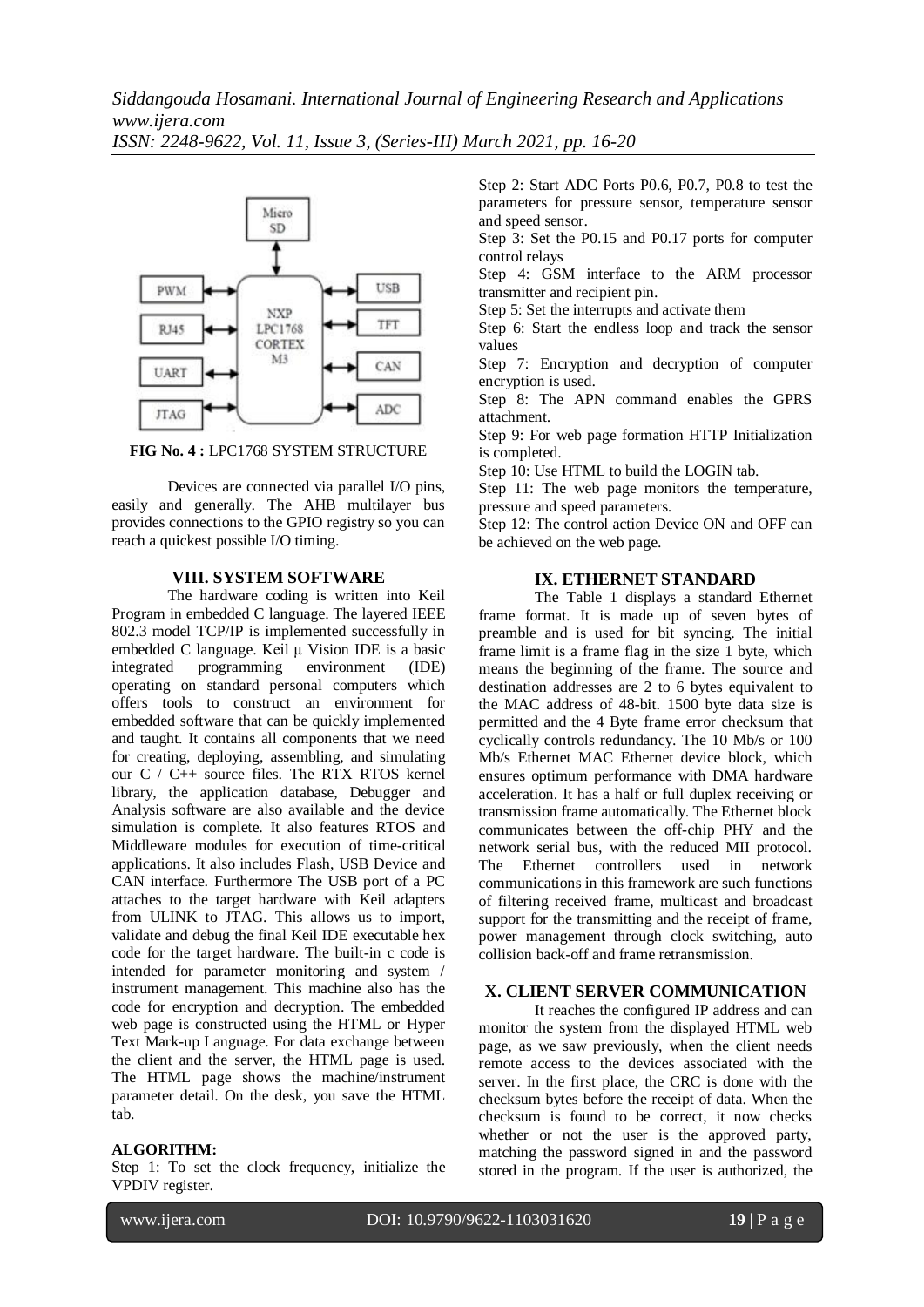

**FIG No. 4 :** LPC1768 SYSTEM STRUCTURE

Devices are connected via parallel I/O pins, easily and generally. The AHB multilayer bus provides connections to the GPIO registry so you can reach a quickest possible I/O timing.

## **VIII. SYSTEM SOFTWARE**

The hardware coding is written into Keil Program in embedded C language. The layered IEEE 802.3 model TCP/IP is implemented successfully in embedded C language. Keil μ Vision IDE is a basic integrated programming environment (IDE) operating on standard personal computers which offers tools to construct an environment for embedded software that can be quickly implemented and taught. It contains all components that we need for creating, deploying, assembling, and simulating our C / C++ source files. The RTX RTOS kernel library, the application database, Debugger and Analysis software are also available and the device simulation is complete. It also features RTOS and Middleware modules for execution of time-critical applications. It also includes Flash, USB Device and CAN interface. Furthermore The USB port of a PC attaches to the target hardware with Keil adapters from ULINK to JTAG. This allows us to import, validate and debug the final Keil IDE executable hex code for the target hardware. The built-in c code is intended for parameter monitoring and system / instrument management. This machine also has the code for encryption and decryption. The embedded web page is constructed using the HTML or Hyper Text Mark-up Language. For data exchange between the client and the server, the HTML page is used. The HTML page shows the machine/instrument parameter detail. On the desk, you save the HTML tab.

#### **ALGORITHM:**

Step 1: To set the clock frequency, initialize the VPDIV register.

Step 2: Start ADC Ports P0.6, P0.7, P0.8 to test the parameters for pressure sensor, temperature sensor and speed sensor.

Step 3: Set the P0.15 and P0.17 ports for computer control relays

Step 4: GSM interface to the ARM processor transmitter and recipient pin.

Step 5: Set the interrupts and activate them

Step 6: Start the endless loop and track the sensor values

Step 7: Encryption and decryption of computer encryption is used.

Step 8: The APN command enables the GPRS attachment.

Step 9: For web page formation HTTP Initialization is completed.

Step 10: Use HTML to build the LOGIN tab.

Step 11: The web page monitors the temperature, pressure and speed parameters.

Step 12: The control action Device ON and OFF can be achieved on the web page.

#### **IX. ETHERNET STANDARD**

The Table 1 displays a standard Ethernet frame format. It is made up of seven bytes of preamble and is used for bit syncing. The initial frame limit is a frame flag in the size 1 byte, which means the beginning of the frame. The source and destination addresses are 2 to 6 bytes equivalent to the MAC address of 48-bit. 1500 byte data size is permitted and the 4 Byte frame error checksum that cyclically controls redundancy. The 10 Mb/s or 100 Mb/s Ethernet MAC Ethernet device block, which ensures optimum performance with DMA hardware acceleration. It has a half or full duplex receiving or transmission frame automatically. The Ethernet block communicates between the off-chip PHY and the network serial bus, with the reduced MII protocol. The Ethernet controllers used in network communications in this framework are such functions of filtering received frame, multicast and broadcast support for the transmitting and the receipt of frame, power management through clock switching, auto collision back-off and frame retransmission.

# **X. CLIENT SERVER COMMUNICATION**

It reaches the configured IP address and can monitor the system from the displayed HTML web page, as we saw previously, when the client needs remote access to the devices associated with the server. In the first place, the CRC is done with the checksum bytes before the receipt of data. When the checksum is found to be correct, it now checks whether or not the user is the approved party, matching the password signed in and the password stored in the program. If the user is authorized, the